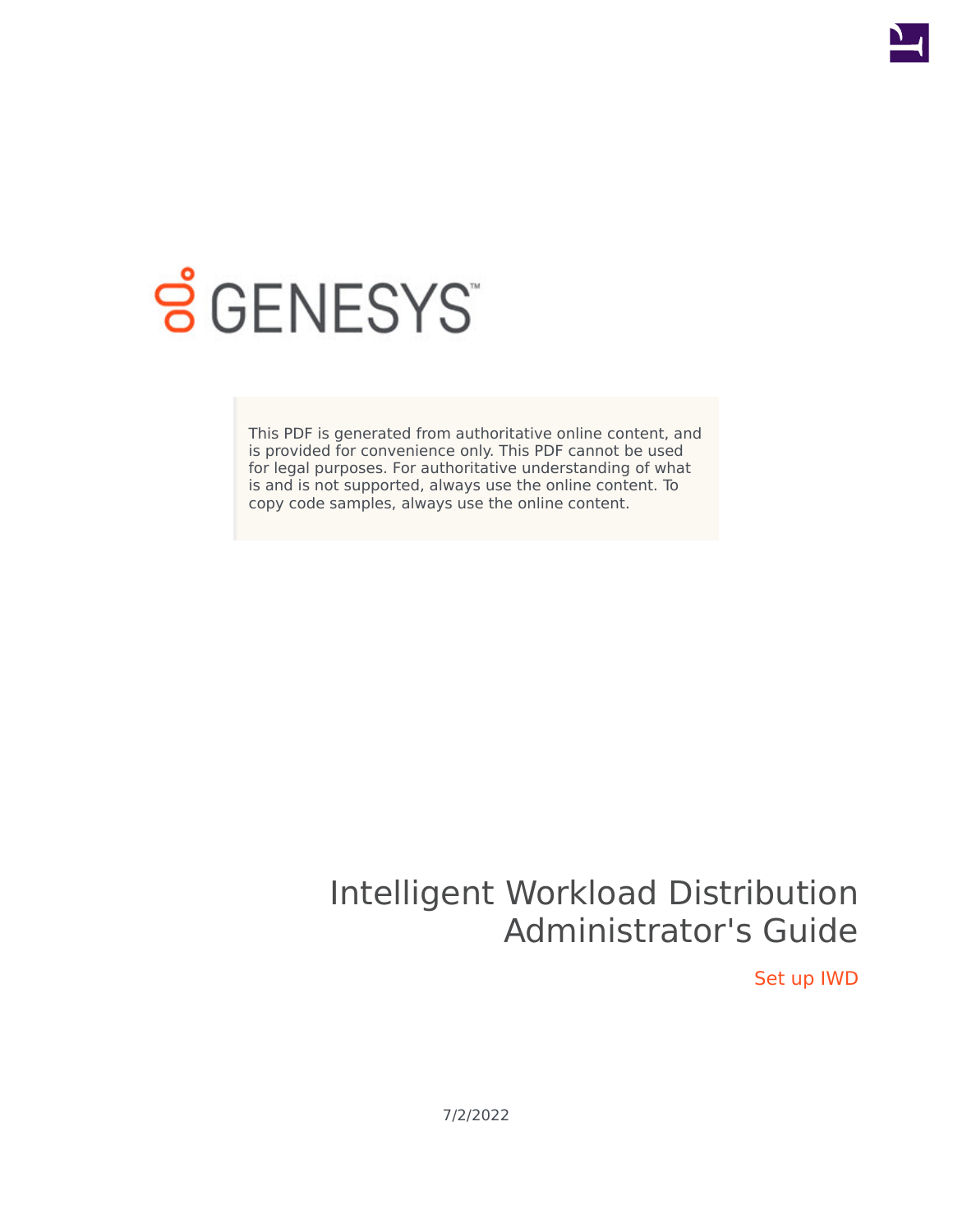

# **SGENESYS**

This PDF is generated from authoritative online content, and is provided for convenience only. This PDF cannot be used for legal purposes. For authoritative understanding of what is and is not supported, always use the online content. To copy code samples, always use the online content.

# Intelligent Workload Distribution Administrator's Guide

Set up IWD

7/2/2022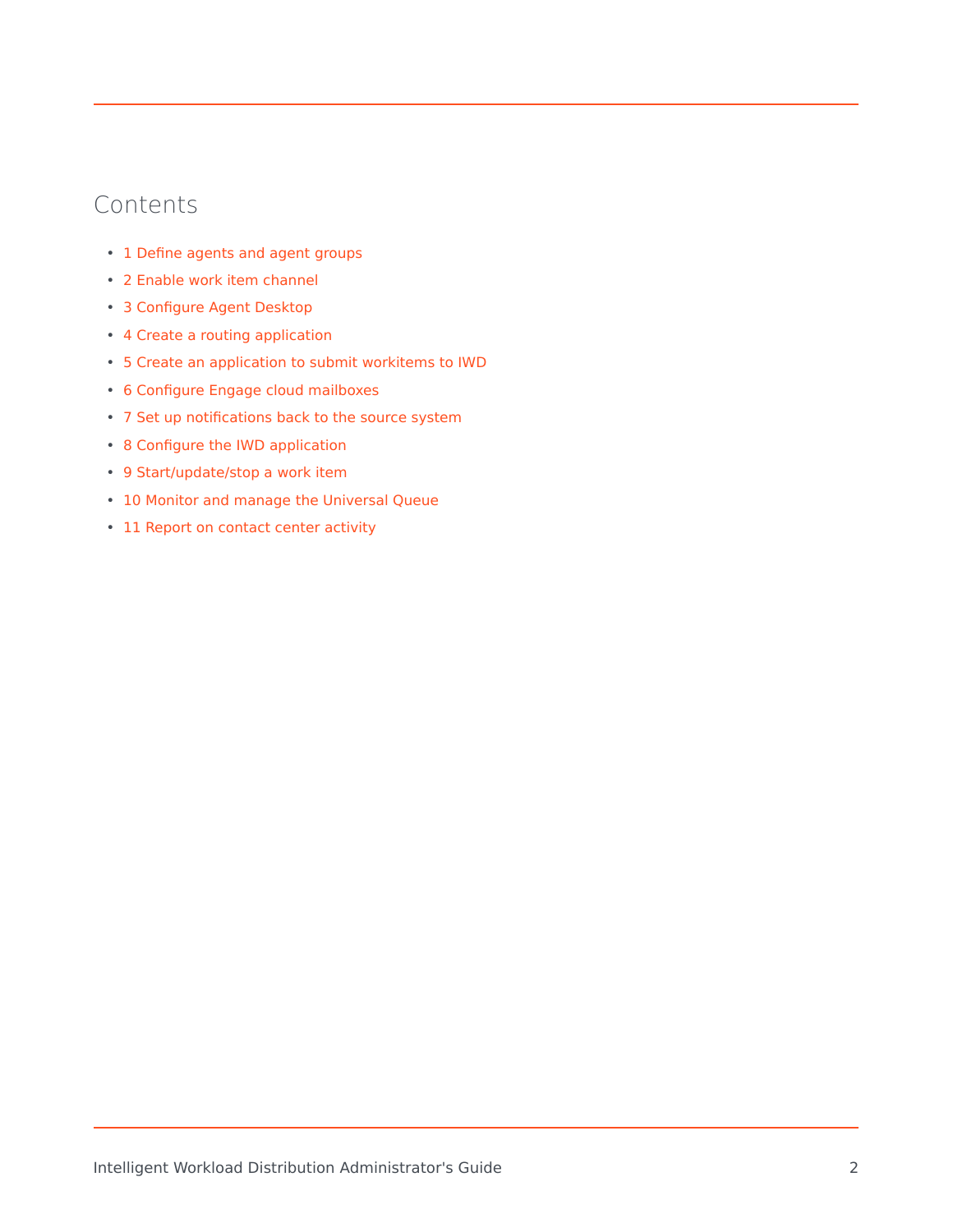#### Contents

- 1 [Define agents and agent groups](#page-2-0)
- 2 [Enable work item channel](#page-2-1)
- 3 [Configure Agent Desktop](#page-3-0)
- 4 [Create a routing application](#page-3-1)
- 5 [Create an application to submit workitems to IWD](#page-3-2)
- 6 [Configure Engage cloud mailboxes](#page-4-0)
- 7 [Set up notifications back to the source system](#page-4-1)
- 8 [Configure the IWD application](#page-4-2)
- 9 [Start/update/stop a work item](#page-4-3)
- 10 [Monitor and manage the Universal Queue](#page-5-0)
- 11 [Report on contact center activity](#page-5-1)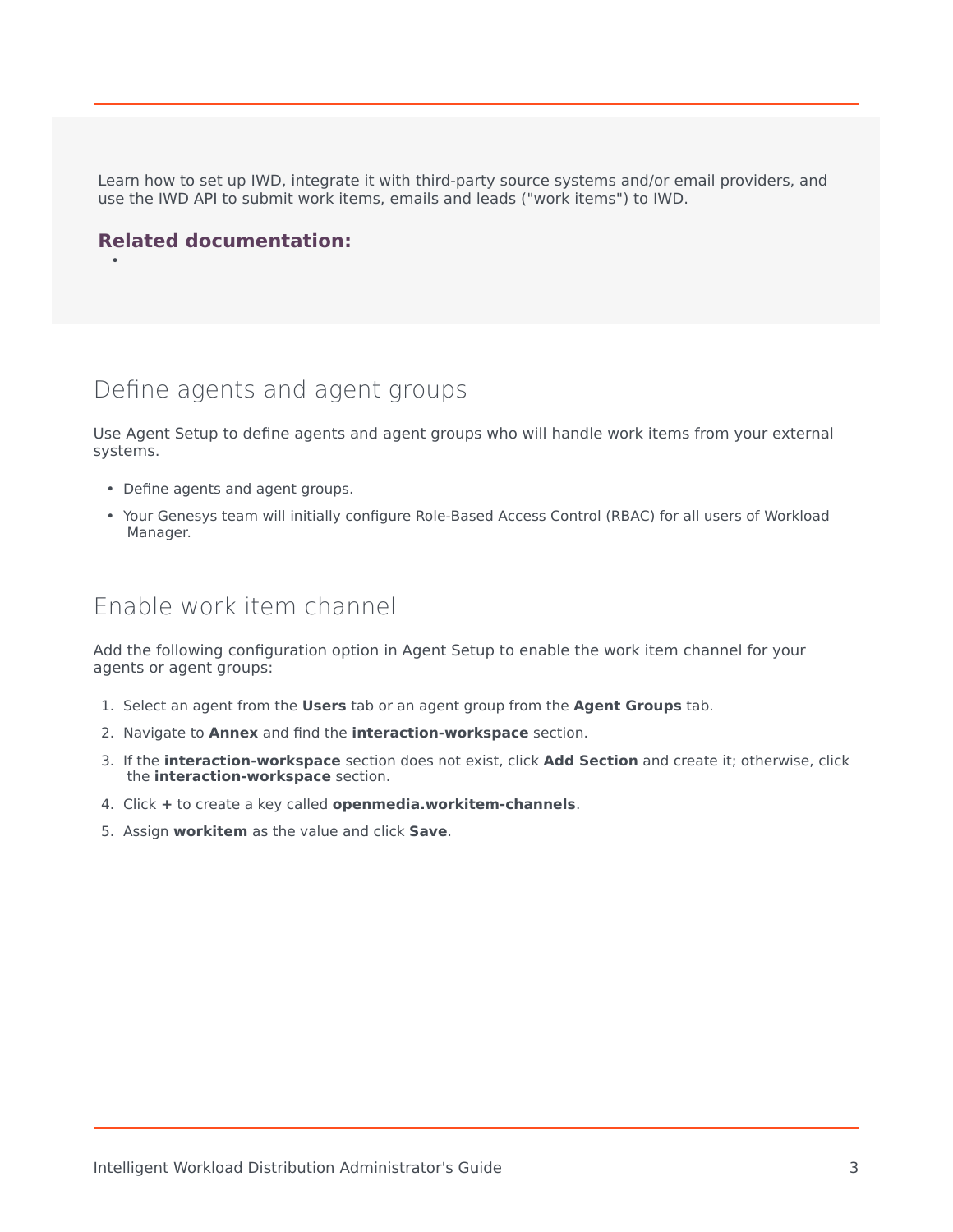Learn how to set up IWD, integrate it with third-party source systems and/or email providers, and use the IWD API to submit work items, emails and leads ("work items") to IWD.

#### **Related documentation:**

•

#### <span id="page-2-0"></span>Define agents and agent groups

Use Agent Setup to define agents and agent groups who will handle work items from your external systems.

- Define agents and agent groups.
- Your Genesys team will initially configure Role-Based Access Control (RBAC) for all users of Workload Manager.

#### <span id="page-2-1"></span>Enable work item channel

Add the following configuration option in Agent Setup to enable the work item channel for your agents or agent groups:

- 1. Select an agent from the **Users** tab or an agent group from the **Agent Groups** tab.
- 2. Navigate to **Annex** and find the **interaction-workspace** section.
- 3. If the **interaction-workspace** section does not exist, click **Add Section** and create it; otherwise, click the **interaction-workspace** section.
- 4. Click **+** to create a key called **openmedia.workitem-channels**.
- 5. Assign **workitem** as the value and click **Save**.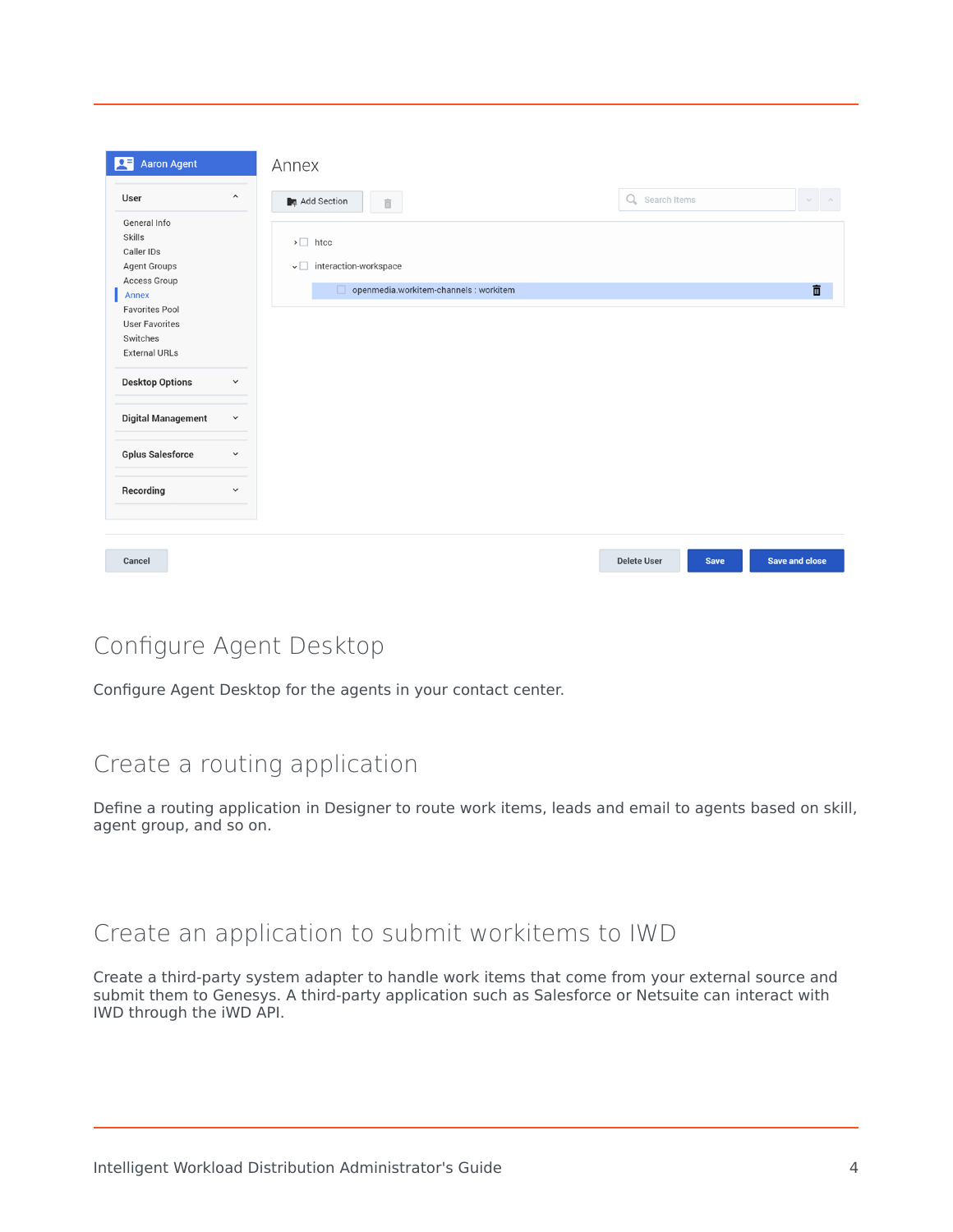|                                                                                      | $\hat{\phantom{a}}$ | Add Section           | $\widehat{\mathbb{m}}$                                                                     |  | Q Search Items | $\sim$ |
|--------------------------------------------------------------------------------------|---------------------|-----------------------|--------------------------------------------------------------------------------------------|--|----------------|--------|
| General Info<br>Skills<br>Caller IDs<br><b>Agent Groups</b><br>Access Group<br>Annex |                     | $\triangleright$ htcc | $\overline{\smile}$ interaction-workspace<br>$\Box$ openmedia.workitem-channels : workitem |  |                | Ô      |
| <b>Favorites Pool</b><br><b>User Favorites</b><br>Switches<br><b>External URLs</b>   |                     |                       |                                                                                            |  |                |        |
| <b>Desktop Options</b>                                                               | $\checkmark$        |                       |                                                                                            |  |                |        |
| <b>Digital Management</b>                                                            | $\checkmark$        |                       |                                                                                            |  |                |        |
| <b>Gplus Salesforce</b>                                                              | $\checkmark$        |                       |                                                                                            |  |                |        |
| Recording                                                                            | $\checkmark$        |                       |                                                                                            |  |                |        |
|                                                                                      |                     |                       |                                                                                            |  |                |        |

## <span id="page-3-0"></span>Configure Agent Desktop

Configure Agent Desktop for the agents in your contact center.

### <span id="page-3-1"></span>Create a routing application

Define a routing application in Designer to route work items, leads and email to agents based on skill, agent group, and so on.

#### <span id="page-3-2"></span>Create an application to submit workitems to IWD

Create a third-party system adapter to handle work items that come from your external source and submit them to Genesys. A third-party application such as Salesforce or Netsuite can interact with IWD through the iWD API.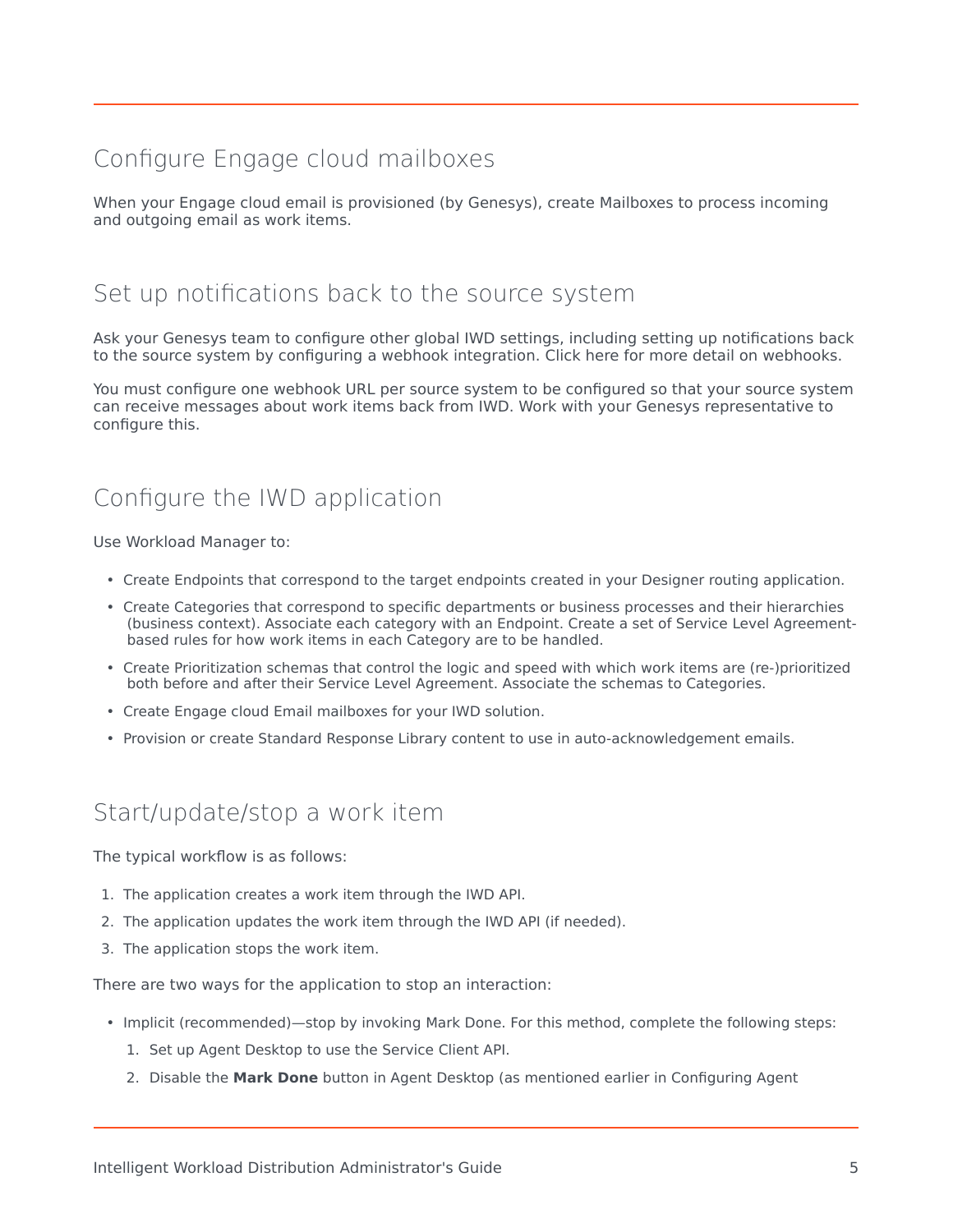# <span id="page-4-0"></span>Configure Engage cloud mailboxes

When your Engage cloud email is provisioned (by Genesys), create Mailboxes to process incoming and outgoing email as work items.

#### <span id="page-4-1"></span>Set up notifications back to the source system

Ask your Genesys team to configure other global IWD settings, including setting up notifications back to the source system by configuring a webhook integration. Click here for more detail on webhooks.

You must configure one webhook URL per source system to be configured so that your source system can receive messages about work items back from IWD. Work with your Genesys representative to configure this.

#### <span id="page-4-2"></span>Configure the IWD application

Use Workload Manager to:

- Create Endpoints that correspond to the target endpoints created in your Designer routing application.
- Create Categories that correspond to specific departments or business processes and their hierarchies (business context). Associate each category with an Endpoint. Create a set of Service Level Agreementbased rules for how work items in each Category are to be handled.
- Create Prioritization schemas that control the logic and speed with which work items are (re-)prioritized both before and after their Service Level Agreement. Associate the schemas to Categories.
- Create Engage cloud Email mailboxes for your IWD solution.
- Provision or create Standard Response Library content to use in auto-acknowledgement emails.

#### <span id="page-4-3"></span>Start/update/stop a work item

The typical workflow is as follows:

- 1. The application creates a work item through the IWD API.
- 2. The application updates the work item through the IWD API (if needed).
- 3. The application stops the work item.

There are two ways for the application to stop an interaction:

- Implicit (recommended)—stop by invoking Mark Done. For this method, complete the following steps:
	- 1. Set up Agent Desktop to use the Service Client API.
	- 2. Disable the **Mark Done** button in Agent Desktop (as mentioned earlier in Configuring Agent